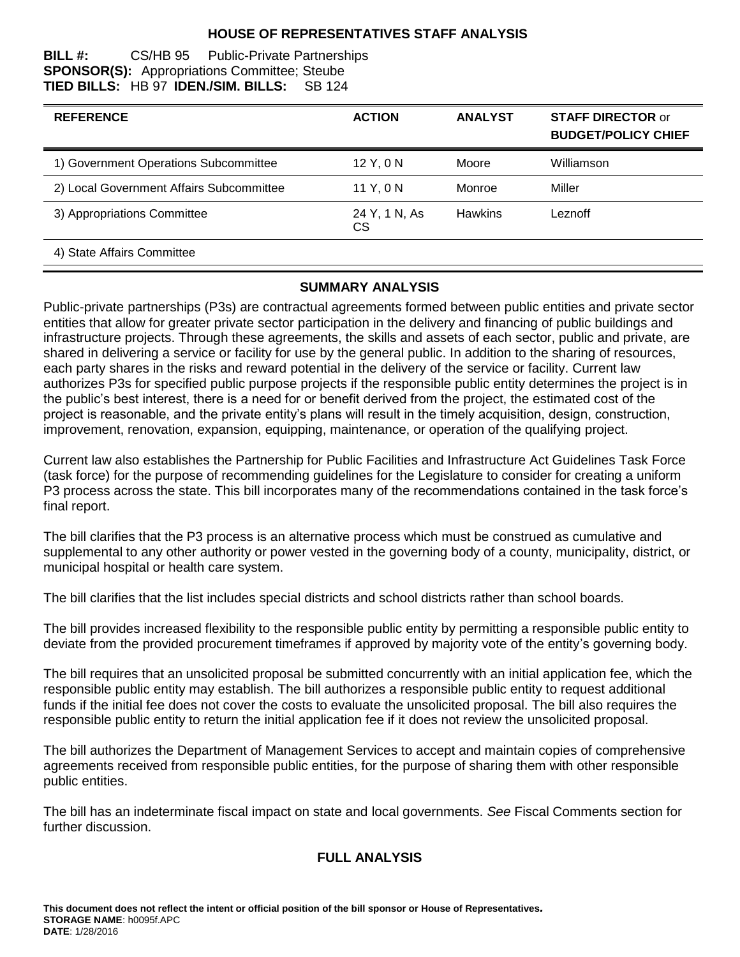### **HOUSE OF REPRESENTATIVES STAFF ANALYSIS**

#### **BILL #:** CS/HB 95 Public-Private Partnerships **SPONSOR(S):** Appropriations Committee; Steube **TIED BILLS:** HB 97 **IDEN./SIM. BILLS:** SB 124

| <b>REFERENCE</b>                         | <b>ACTION</b>       | <b>ANALYST</b> | <b>STAFF DIRECTOR or</b><br><b>BUDGET/POLICY CHIEF</b> |
|------------------------------------------|---------------------|----------------|--------------------------------------------------------|
| 1) Government Operations Subcommittee    | 12 Y, 0 N           | Moore          | Williamson                                             |
| 2) Local Government Affairs Subcommittee | 11 Y.ON             | Monroe         | Miller                                                 |
| 3) Appropriations Committee              | 24 Y, 1 N, As<br>СS | <b>Hawkins</b> | Leznoff                                                |
| 4) State Affairs Committee               |                     |                |                                                        |

### **SUMMARY ANALYSIS**

Public-private partnerships (P3s) are contractual agreements formed between public entities and private sector entities that allow for greater private sector participation in the delivery and financing of public buildings and infrastructure projects. Through these agreements, the skills and assets of each sector, public and private, are shared in delivering a service or facility for use by the general public. In addition to the sharing of resources, each party shares in the risks and reward potential in the delivery of the service or facility. Current law authorizes P3s for specified public purpose projects if the responsible public entity determines the project is in the public's best interest, there is a need for or benefit derived from the project, the estimated cost of the project is reasonable, and the private entity's plans will result in the timely acquisition, design, construction, improvement, renovation, expansion, equipping, maintenance, or operation of the qualifying project.

Current law also establishes the Partnership for Public Facilities and Infrastructure Act Guidelines Task Force (task force) for the purpose of recommending guidelines for the Legislature to consider for creating a uniform P3 process across the state. This bill incorporates many of the recommendations contained in the task force's final report.

The bill clarifies that the P3 process is an alternative process which must be construed as cumulative and supplemental to any other authority or power vested in the governing body of a county, municipality, district, or municipal hospital or health care system.

The bill clarifies that the list includes special districts and school districts rather than school boards.

The bill provides increased flexibility to the responsible public entity by permitting a responsible public entity to deviate from the provided procurement timeframes if approved by majority vote of the entity's governing body.

The bill requires that an unsolicited proposal be submitted concurrently with an initial application fee, which the responsible public entity may establish. The bill authorizes a responsible public entity to request additional funds if the initial fee does not cover the costs to evaluate the unsolicited proposal. The bill also requires the responsible public entity to return the initial application fee if it does not review the unsolicited proposal.

The bill authorizes the Department of Management Services to accept and maintain copies of comprehensive agreements received from responsible public entities, for the purpose of sharing them with other responsible public entities.

The bill has an indeterminate fiscal impact on state and local governments. *See* Fiscal Comments section for further discussion.

# **FULL ANALYSIS**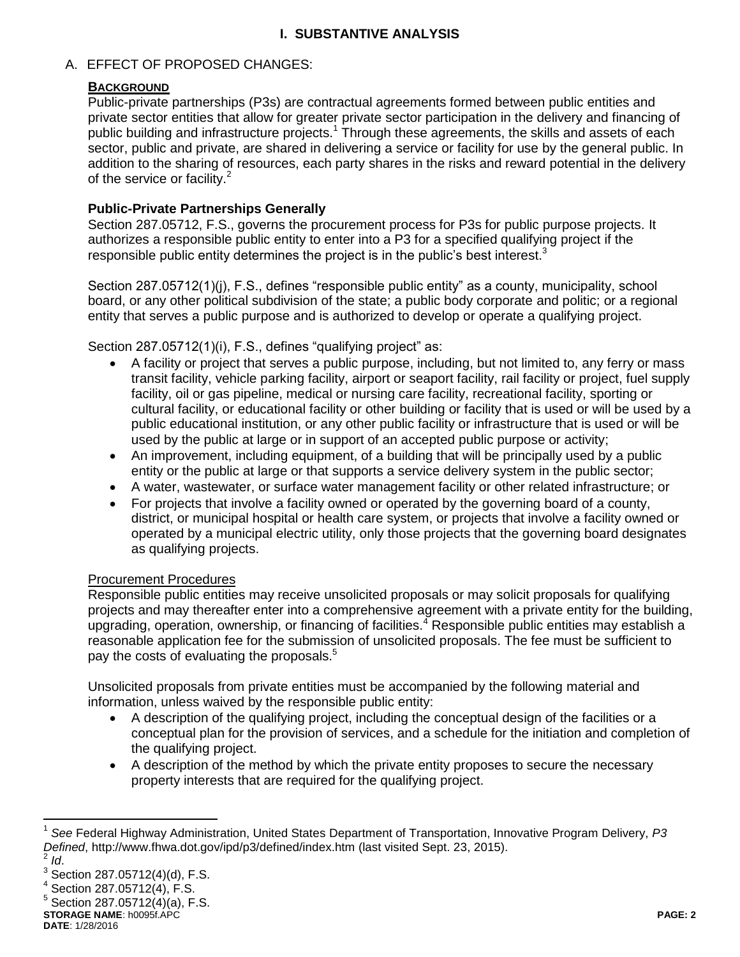## **I. SUBSTANTIVE ANALYSIS**

### A. EFFECT OF PROPOSED CHANGES:

### **BACKGROUND**

Public-private partnerships (P3s) are contractual agreements formed between public entities and private sector entities that allow for greater private sector participation in the delivery and financing of public building and infrastructure projects.<sup>1</sup> Through these agreements, the skills and assets of each sector, public and private, are shared in delivering a service or facility for use by the general public. In addition to the sharing of resources, each party shares in the risks and reward potential in the delivery of the service or facility.<sup>2</sup>

### **Public-Private Partnerships Generally**

Section 287.05712, F.S., governs the procurement process for P3s for public purpose projects. It authorizes a responsible public entity to enter into a P3 for a specified qualifying project if the responsible public entity determines the project is in the public's best interest.<sup>3</sup>

Section 287.05712(1)(i), F.S., defines "responsible public entity" as a county, municipality, school board, or any other political subdivision of the state; a public body corporate and politic; or a regional entity that serves a public purpose and is authorized to develop or operate a qualifying project.

Section 287.05712(1)(i), F.S., defines "qualifying project" as:

- A facility or project that serves a public purpose, including, but not limited to, any ferry or mass transit facility, vehicle parking facility, airport or seaport facility, rail facility or project, fuel supply facility, oil or gas pipeline, medical or nursing care facility, recreational facility, sporting or cultural facility, or educational facility or other building or facility that is used or will be used by a public educational institution, or any other public facility or infrastructure that is used or will be used by the public at large or in support of an accepted public purpose or activity;
- An improvement, including equipment, of a building that will be principally used by a public entity or the public at large or that supports a service delivery system in the public sector;
- A water, wastewater, or surface water management facility or other related infrastructure; or
- For projects that involve a facility owned or operated by the governing board of a county, district, or municipal hospital or health care system, or projects that involve a facility owned or operated by a municipal electric utility, only those projects that the governing board designates as qualifying projects.

### Procurement Procedures

Responsible public entities may receive unsolicited proposals or may solicit proposals for qualifying projects and may thereafter enter into a comprehensive agreement with a private entity for the building, upgrading, operation, ownership, or financing of facilities.<sup>4</sup> Responsible public entities may establish a reasonable application fee for the submission of unsolicited proposals. The fee must be sufficient to pay the costs of evaluating the proposals.<sup>5</sup>

Unsolicited proposals from private entities must be accompanied by the following material and information, unless waived by the responsible public entity:

- A description of the qualifying project, including the conceptual design of the facilities or a conceptual plan for the provision of services, and a schedule for the initiation and completion of the qualifying project.
- A description of the method by which the private entity proposes to secure the necessary property interests that are required for the qualifying project.

**STORAGE NAME**: h0095f.APC **PAGE: 2**

 $\overline{a}$ 

<sup>1</sup> *See* Federal Highway Administration, United States Department of Transportation, Innovative Program Delivery, *P3 Defined*, http://www.fhwa.dot.gov/ipd/p3/defined/index.htm (last visited Sept. 23, 2015). 2 *Id*.

 $^3$  Section 287.05712(4)(d), F.S.

 $4$  Section 287.05712(4), F.S.

 $5$  Section 287.05712(4)(a), F.S.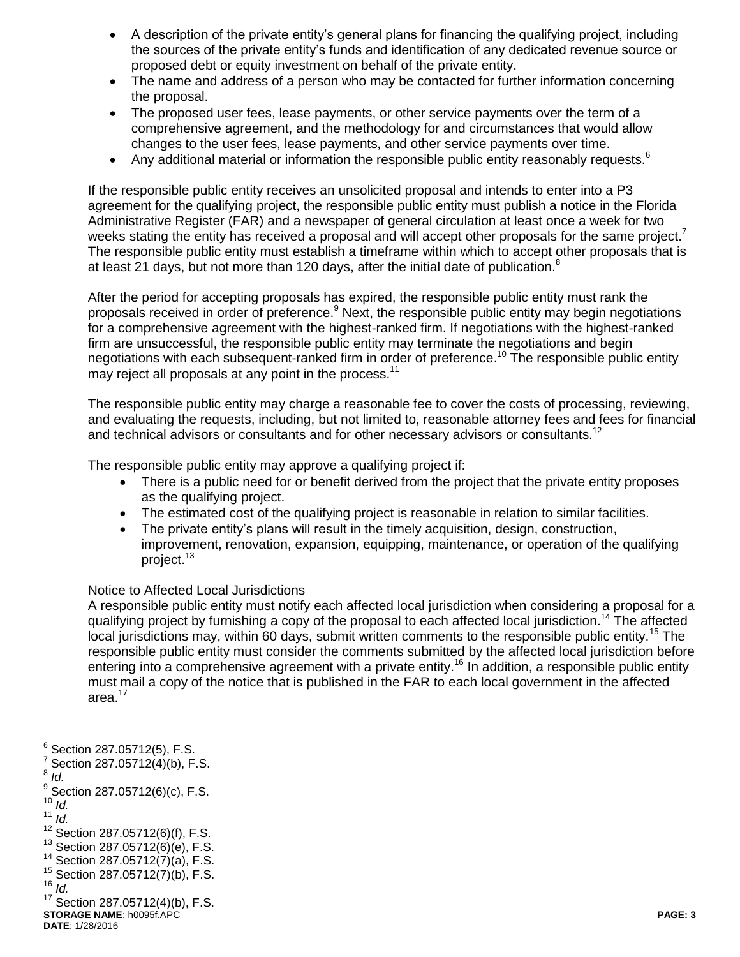- A description of the private entity's general plans for financing the qualifying project, including the sources of the private entity's funds and identification of any dedicated revenue source or proposed debt or equity investment on behalf of the private entity.
- The name and address of a person who may be contacted for further information concerning the proposal.
- The proposed user fees, lease payments, or other service payments over the term of a comprehensive agreement, and the methodology for and circumstances that would allow changes to the user fees, lease payments, and other service payments over time.
- Any additional material or information the responsible public entity reasonably requests.<sup>6</sup>

If the responsible public entity receives an unsolicited proposal and intends to enter into a P3 agreement for the qualifying project, the responsible public entity must publish a notice in the Florida Administrative Register (FAR) and a newspaper of general circulation at least once a week for two weeks stating the entity has received a proposal and will accept other proposals for the same project.<sup>7</sup> The responsible public entity must establish a timeframe within which to accept other proposals that is at least 21 days, but not more than 120 days, after the initial date of publication.<sup>8</sup>

After the period for accepting proposals has expired, the responsible public entity must rank the proposals received in order of preference.<sup>9</sup> Next, the responsible public entity may begin negotiations for a comprehensive agreement with the highest-ranked firm. If negotiations with the highest-ranked firm are unsuccessful, the responsible public entity may terminate the negotiations and begin negotiations with each subsequent-ranked firm in order of preference.<sup>10</sup> The responsible public entity may reject all proposals at any point in the process.<sup>11</sup>

The responsible public entity may charge a reasonable fee to cover the costs of processing, reviewing, and evaluating the requests, including, but not limited to, reasonable attorney fees and fees for financial and technical advisors or consultants and for other necessary advisors or consultants.<sup>12</sup>

The responsible public entity may approve a qualifying project if:

- There is a public need for or benefit derived from the project that the private entity proposes as the qualifying project.
- The estimated cost of the qualifying project is reasonable in relation to similar facilities.
- The private entity's plans will result in the timely acquisition, design, construction, improvement, renovation, expansion, equipping, maintenance, or operation of the qualifying project.<sup>13</sup>

#### Notice to Affected Local Jurisdictions

A responsible public entity must notify each affected local jurisdiction when considering a proposal for a qualifying project by furnishing a copy of the proposal to each affected local jurisdiction.<sup>14</sup> The affected local jurisdictions may, within 60 days, submit written comments to the responsible public entity.<sup>15</sup> The responsible public entity must consider the comments submitted by the affected local jurisdiction before entering into a comprehensive agreement with a private entity.<sup>16</sup> In addition, a responsible public entity must mail a copy of the notice that is published in the FAR to each local government in the affected area.<sup>17</sup>

8 *Id.*

- $10^{10}$   $\frac{1}{d}$ .
- <sup>11</sup> *Id.*

<sup>—&</sup>lt;br>6 Section 287.05712(5), F.S.

 $7$  Section 287.05712(4)(b), F.S.

 $^{9}$  Section 287.05712(6)(c), F.S.

 $12$  Section 287.05712(6)(f), F.S.

 $13$  Section 287.05712(6)(e), F.S.

<sup>14</sup> Section 287.05712(7)(a), F.S.

 $15$  Section 287.05712(7)(b), F.S.

 $16$   $\bar{I}d$ .

**STORAGE NAME**: h0095f.APC **PAGE: 3** <sup>17</sup> Section 287.05712(4)(b), F.S.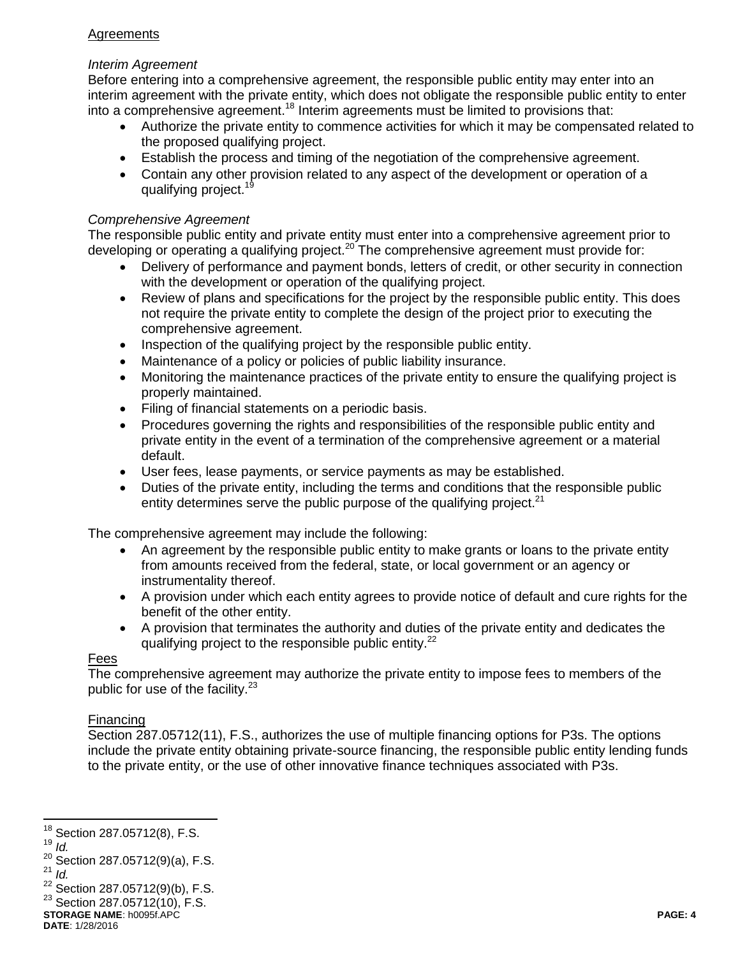# **Agreements**

### *Interim Agreement*

Before entering into a comprehensive agreement, the responsible public entity may enter into an interim agreement with the private entity, which does not obligate the responsible public entity to enter into a comprehensive agreement.<sup>18</sup> Interim agreements must be limited to provisions that:

- Authorize the private entity to commence activities for which it may be compensated related to the proposed qualifying project.
- Establish the process and timing of the negotiation of the comprehensive agreement.
- Contain any other provision related to any aspect of the development or operation of a qualifying project.<sup>19</sup>

### *Comprehensive Agreement*

The responsible public entity and private entity must enter into a comprehensive agreement prior to developing or operating a qualifying project.<sup>20</sup> The comprehensive agreement must provide for:

- Delivery of performance and payment bonds, letters of credit, or other security in connection with the development or operation of the qualifying project.
- Review of plans and specifications for the project by the responsible public entity. This does not require the private entity to complete the design of the project prior to executing the comprehensive agreement.
- Inspection of the qualifying project by the responsible public entity.
- Maintenance of a policy or policies of public liability insurance.
- Monitoring the maintenance practices of the private entity to ensure the qualifying project is properly maintained.
- Filing of financial statements on a periodic basis.
- Procedures governing the rights and responsibilities of the responsible public entity and private entity in the event of a termination of the comprehensive agreement or a material default.
- User fees, lease payments, or service payments as may be established.
- Duties of the private entity, including the terms and conditions that the responsible public entity determines serve the public purpose of the qualifying project. $21$

The comprehensive agreement may include the following:

- An agreement by the responsible public entity to make grants or loans to the private entity from amounts received from the federal, state, or local government or an agency or instrumentality thereof.
- A provision under which each entity agrees to provide notice of default and cure rights for the benefit of the other entity.
- A provision that terminates the authority and duties of the private entity and dedicates the qualifying project to the responsible public entity.<sup>22</sup>

### Fees

The comprehensive agreement may authorize the private entity to impose fees to members of the public for use of the facility. $23$ 

# Financing

Section 287.05712(11), F.S., authorizes the use of multiple financing options for P3s. The options include the private entity obtaining private-source financing, the responsible public entity lending funds to the private entity, or the use of other innovative finance techniques associated with P3s.

<sup>19</sup> *Id.*

 $\overline{a}$ 

 $18$  Section 287.05712(8), F.S.

<sup>&</sup>lt;sup>20</sup> Section 287.05712(9)(a), F.S.  $^{21}$  *Id.* 

 $22$  Section 287.05712(9)(b), F.S.

**STORAGE NAME**: h0095f.APC **PAGE: 4**  $23$  Section 287.05712(10), F.S.

**DATE**: 1/28/2016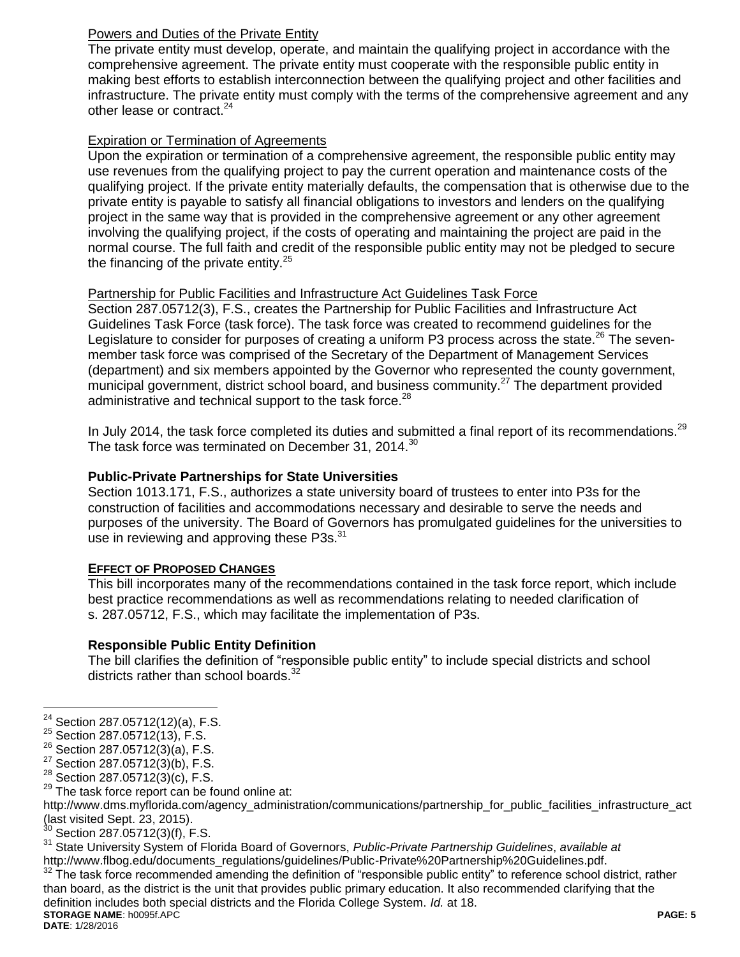# **Powers and Duties of the Private Entity**

The private entity must develop, operate, and maintain the qualifying project in accordance with the comprehensive agreement. The private entity must cooperate with the responsible public entity in making best efforts to establish interconnection between the qualifying project and other facilities and infrastructure. The private entity must comply with the terms of the comprehensive agreement and any other lease or contract.<sup>24</sup>

### Expiration or Termination of Agreements

Upon the expiration or termination of a comprehensive agreement, the responsible public entity may use revenues from the qualifying project to pay the current operation and maintenance costs of the qualifying project. If the private entity materially defaults, the compensation that is otherwise due to the private entity is payable to satisfy all financial obligations to investors and lenders on the qualifying project in the same way that is provided in the comprehensive agreement or any other agreement involving the qualifying project, if the costs of operating and maintaining the project are paid in the normal course. The full faith and credit of the responsible public entity may not be pledged to secure the financing of the private entity. $25$ 

## Partnership for Public Facilities and Infrastructure Act Guidelines Task Force

Section 287.05712(3), F.S., creates the Partnership for Public Facilities and Infrastructure Act Guidelines Task Force (task force). The task force was created to recommend guidelines for the Legislature to consider for purposes of creating a uniform P3 process across the state.<sup>26</sup> The sevenmember task force was comprised of the Secretary of the Department of Management Services (department) and six members appointed by the Governor who represented the county government, municipal government, district school board, and business community.<sup>27</sup> The department provided administrative and technical support to the task force.<sup>28</sup>

In July 2014, the task force completed its duties and submitted a final report of its recommendations.<sup>29</sup> The task force was terminated on December 31, 2014.<sup>30</sup>

## **Public-Private Partnerships for State Universities**

Section 1013.171, F.S., authorizes a state university board of trustees to enter into P3s for the construction of facilities and accommodations necessary and desirable to serve the needs and purposes of the university. The Board of Governors has promulgated guidelines for the universities to use in reviewing and approving these P3s.<sup>31</sup>

### **EFFECT OF PROPOSED CHANGES**

This bill incorporates many of the recommendations contained in the task force report, which include best practice recommendations as well as recommendations relating to needed clarification of s. 287.05712, F.S., which may facilitate the implementation of P3s.

# **Responsible Public Entity Definition**

The bill clarifies the definition of "responsible public entity" to include special districts and school districts rather than school boards.<sup>32</sup>

**STORAGE NAME**: h0095f.APC **PAGE: 5** The task force recommended amending the definition of "responsible public entity" to reference school district, rather than board, as the district is the unit that provides public primary education. It also recommended clarifying that the definition includes both special districts and the Florida College System. *Id.* at 18.

**DATE**: 1/28/2016

 $\overline{a}$ 

 $24$  Section 287.05712(12)(a), F.S.

<sup>25</sup> Section 287.05712(13), F.S.

 $26$  Section 287.05712(3)(a), F.S.

 $27$  Section 287.05712(3)(b), F.S.

 $28$  Section 287.05712(3)(c), F.S.

 $29$  The task force report can be found online at:

http://www.dms.myflorida.com/agency\_administration/communications/partnership\_for\_public\_facilities\_infrastructure\_act (last visited Sept. 23, 2015).

Section 287.05712(3)(f), F.S.

<sup>31</sup> State University System of Florida Board of Governors, *Public-Private Partnership Guidelines*, *available at* http://www.flbog.edu/documents\_regulations/guidelines/Public-Private Partnership%20Guidelines.pdf.<br><sup>32</sup> The task force recommended exceptive that the state of the contract of the task force recommended exceptive th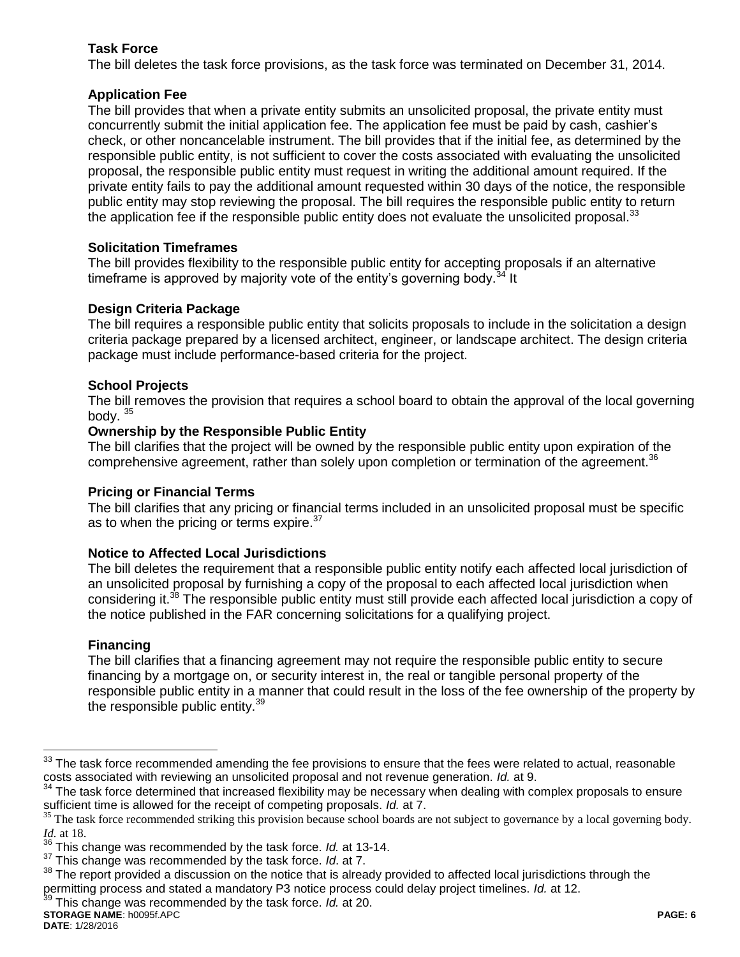## **Task Force**

The bill deletes the task force provisions, as the task force was terminated on December 31, 2014.

## **Application Fee**

The bill provides that when a private entity submits an unsolicited proposal, the private entity must concurrently submit the initial application fee. The application fee must be paid by cash, cashier's check, or other noncancelable instrument. The bill provides that if the initial fee, as determined by the responsible public entity, is not sufficient to cover the costs associated with evaluating the unsolicited proposal, the responsible public entity must request in writing the additional amount required. If the private entity fails to pay the additional amount requested within 30 days of the notice, the responsible public entity may stop reviewing the proposal. The bill requires the responsible public entity to return the application fee if the responsible public entity does not evaluate the unsolicited proposal. $33$ 

## **Solicitation Timeframes**

The bill provides flexibility to the responsible public entity for accepting proposals if an alternative timeframe is approved by majority vote of the entity's governing body.<sup>34</sup> It

## **Design Criteria Package**

The bill requires a responsible public entity that solicits proposals to include in the solicitation a design criteria package prepared by a licensed architect, engineer, or landscape architect. The design criteria package must include performance-based criteria for the project.

## **School Projects**

The bill removes the provision that requires a school board to obtain the approval of the local governing body. <sup>35</sup>

### **Ownership by the Responsible Public Entity**

The bill clarifies that the project will be owned by the responsible public entity upon expiration of the comprehensive agreement, rather than solely upon completion or termination of the agreement.<sup>36</sup>

### **Pricing or Financial Terms**

The bill clarifies that any pricing or financial terms included in an unsolicited proposal must be specific as to when the pricing or terms expire.<sup>37</sup>

### **Notice to Affected Local Jurisdictions**

The bill deletes the requirement that a responsible public entity notify each affected local jurisdiction of an unsolicited proposal by furnishing a copy of the proposal to each affected local jurisdiction when considering it.<sup>38</sup> The responsible public entity must still provide each affected local jurisdiction a copy of the notice published in the FAR concerning solicitations for a qualifying project.

# **Financing**

The bill clarifies that a financing agreement may not require the responsible public entity to secure financing by a mortgage on, or security interest in, the real or tangible personal property of the responsible public entity in a manner that could result in the loss of the fee ownership of the property by the responsible public entity.<sup>39</sup>

 $\overline{a}$ <sup>33</sup> The task force recommended amending the fee provisions to ensure that the fees were related to actual, reasonable costs associated with reviewing an unsolicited proposal and not revenue generation. *Id.* at 9.

<sup>&</sup>lt;sup>34</sup> The task force determined that increased flexibility may be necessary when dealing with complex proposals to ensure sufficient time is allowed for the receipt of competing proposals. *Id.* at 7.

 $35$  The task force recommended striking this provision because school boards are not subject to governance by a local governing body. *Id.* at 18.

<sup>36</sup> This change was recommended by the task force. *Id.* at 13-14.

<sup>37</sup> This change was recommended by the task force. *Id*. at 7.

<sup>&</sup>lt;sup>38</sup> The report provided a discussion on the notice that is already provided to affected local jurisdictions through the permitting process and stated a mandatory P3 notice process could delay project timelines. *Id.* at 12.

<sup>39</sup> This change was recommended by the task force. *Id.* at 20.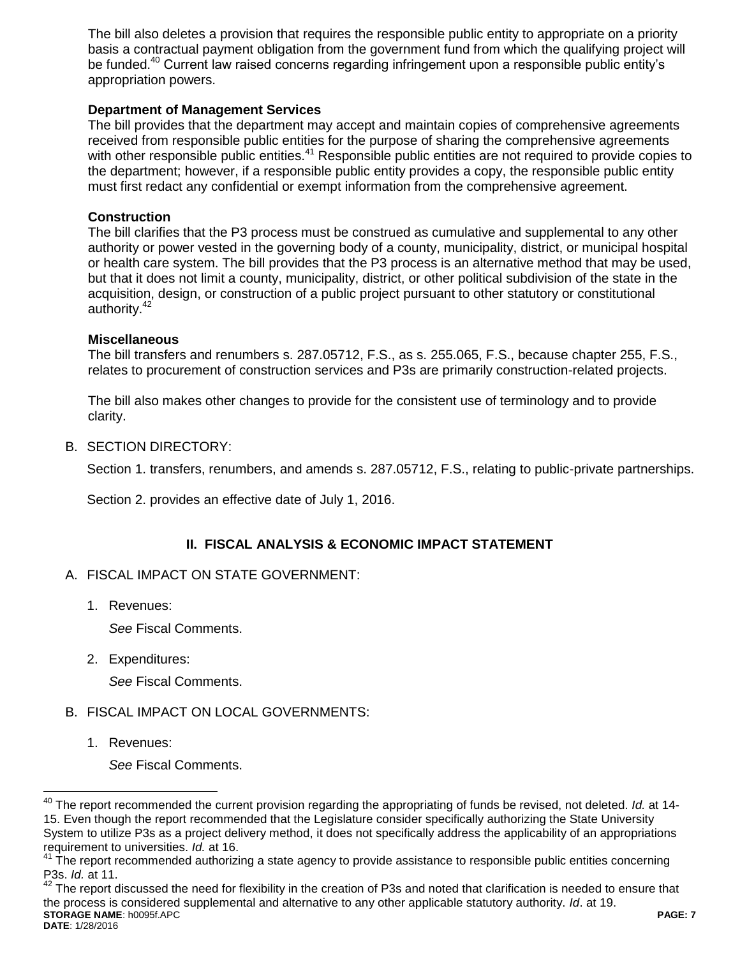The bill also deletes a provision that requires the responsible public entity to appropriate on a priority basis a contractual payment obligation from the government fund from which the qualifying project will be funded.<sup>40</sup> Current law raised concerns regarding infringement upon a responsible public entity's appropriation powers.

### **Department of Management Services**

The bill provides that the department may accept and maintain copies of comprehensive agreements received from responsible public entities for the purpose of sharing the comprehensive agreements with other responsible public entities.<sup>41</sup> Responsible public entities are not required to provide copies to the department; however, if a responsible public entity provides a copy, the responsible public entity must first redact any confidential or exempt information from the comprehensive agreement.

#### **Construction**

The bill clarifies that the P3 process must be construed as cumulative and supplemental to any other authority or power vested in the governing body of a county, municipality, district, or municipal hospital or health care system. The bill provides that the P3 process is an alternative method that may be used, but that it does not limit a county, municipality, district, or other political subdivision of the state in the acquisition, design, or construction of a public project pursuant to other statutory or constitutional authority.<sup>42</sup>

#### **Miscellaneous**

The bill transfers and renumbers s. 287.05712, F.S., as s. 255.065, F.S., because chapter 255, F.S., relates to procurement of construction services and P3s are primarily construction-related projects.

The bill also makes other changes to provide for the consistent use of terminology and to provide clarity.

#### B. SECTION DIRECTORY:

Section 1. transfers, renumbers, and amends s. 287.05712, F.S., relating to public-private partnerships.

Section 2. provides an effective date of July 1, 2016.

# **II. FISCAL ANALYSIS & ECONOMIC IMPACT STATEMENT**

### A. FISCAL IMPACT ON STATE GOVERNMENT:

1. Revenues:

*See* Fiscal Comments.

2. Expenditures:

*See* Fiscal Comments.

### B. FISCAL IMPACT ON LOCAL GOVERNMENTS:

1. Revenues:

 $\overline{a}$ 

*See* Fiscal Comments.

**STORAGE NAME**: h0095f.APC **PAGE: 7 DATE**: 1/28/2016  $42$  The report discussed the need for flexibility in the creation of P3s and noted that clarification is needed to ensure that the process is considered supplemental and alternative to any other applicable statutory authority. *Id*. at 19.

<sup>40</sup> The report recommended the current provision regarding the appropriating of funds be revised, not deleted. *Id.* at 14- 15. Even though the report recommended that the Legislature consider specifically authorizing the State University System to utilize P3s as a project delivery method, it does not specifically address the applicability of an appropriations requirement to universities. *Id.* at 16.

 $41$  The report recommended authorizing a state agency to provide assistance to responsible public entities concerning P3s. *Id.* at 11.